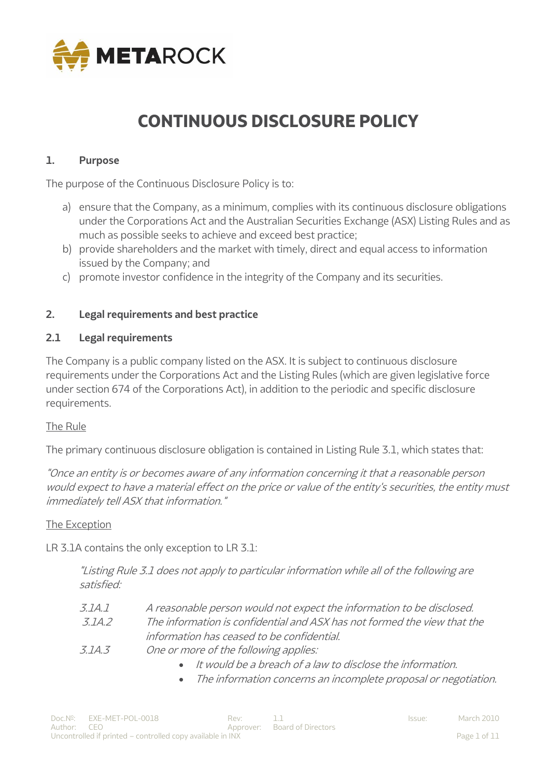

# **CONTINUOUS DISCLOSURE POLICY**

### **1. Purpose**

The purpose of the Continuous Disclosure Policy is to:

- a) ensure that the Company, as a minimum, complies with its continuous disclosure obligations under the Corporations Act and the Australian Securities Exchange (ASX) Listing Rules and as much as possible seeks to achieve and exceed best practice;
- b) provide shareholders and the market with timely, direct and equal access to information issued by the Company; and
- c) promote investor confidence in the integrity of the Company and its securities.

#### **2. Legal requirements and best practice**

#### **2.1 Legal requirements**

The Company is a public company listed on the ASX. It is subject to continuous disclosure requirements under the Corporations Act and the Listing Rules (which are given legislative force under section 674 of the Corporations Act), in addition to the periodic and specific disclosure requirements.

#### The Rule

The primary continuous disclosure obligation is contained in Listing Rule 3.1, which states that:

"Once an entity is or becomes aware of any information concerning it that a reasonable person would expect to have a material effect on the price or value of the entity's securities, the entity must immediately tell ASX that information."

#### The Exception

LR 3.1A contains the only exception to LR 3.1:

"Listing Rule 3.1 does not apply to particular information while all of the following are satisfied:

- 3.1A.1 A reasonable person would not expect the information to be disclosed. 3.1A.2 The information is confidential and ASX has not formed the view that the information has ceased to be confidential.
- 3.1A.3 One or more of the following applies:
	- It would be a breach of a law to disclose the information.
	- The information concerns an incomplete proposal or negotiation.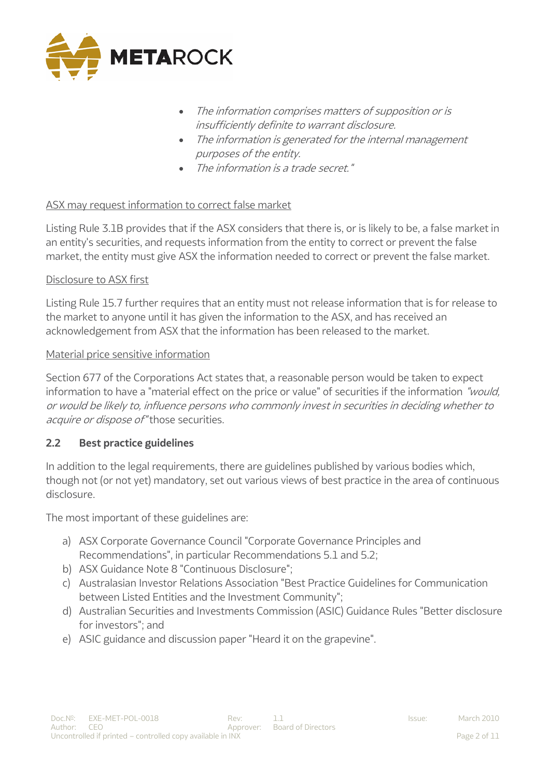

- The information comprises matters of supposition or is insufficiently definite to warrant disclosure.
- The information is generated for the internal management purposes of the entity.
- The information is a trade secret."

# ASX may request information to correct false market

Listing Rule 3.1B provides that if the ASX considers that there is, or is likely to be, a false market in an entity's securities, and requests information from the entity to correct or prevent the false market, the entity must give ASX the information needed to correct or prevent the false market.

#### Disclosure to ASX first

Listing Rule 15.7 further requires that an entity must not release information that is for release to the market to anyone until it has given the information to the ASX, and has received an acknowledgement from ASX that the information has been released to the market.

#### Material price sensitive information

Section 677 of the Corporations Act states that, a reasonable person would be taken to expect information to have a "material effect on the price or value" of securities if the information "would, or would be likely to, influence persons who commonly invest in securities in deciding whether to acquire or dispose of "those securities.

# **2.2 Best practice guidelines**

In addition to the legal requirements, there are guidelines published by various bodies which, though not (or not yet) mandatory, set out various views of best practice in the area of continuous disclosure.

The most important of these guidelines are:

- a) ASX Corporate Governance Council "Corporate Governance Principles and Recommendations", in particular Recommendations 5.1 and 5.2;
- b) ASX Guidance Note 8 "Continuous Disclosure";
- c) Australasian Investor Relations Association "Best Practice Guidelines for Communication between Listed Entities and the Investment Community";
- d) Australian Securities and Investments Commission (ASIC) Guidance Rules "Better disclosure for investors"; and
- e) ASIC guidance and discussion paper "Heard it on the grapevine".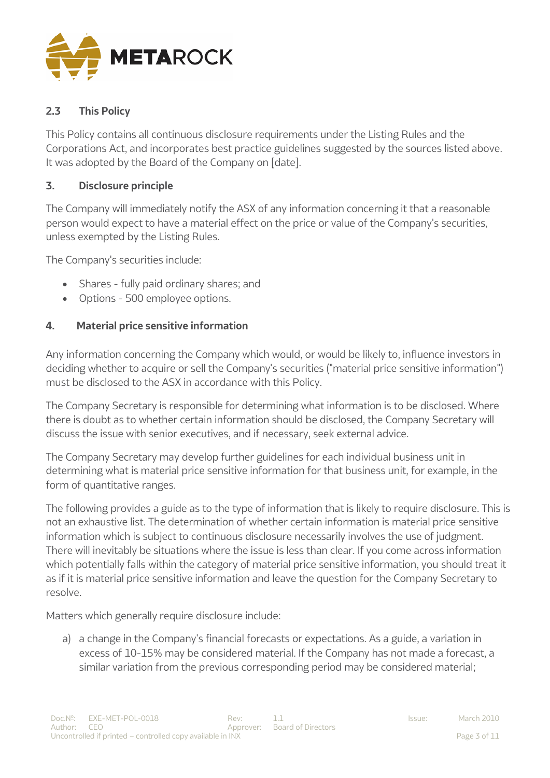

# **2.3 This Policy**

This Policy contains all continuous disclosure requirements under the Listing Rules and the Corporations Act, and incorporates best practice guidelines suggested by the sources listed above. It was adopted by the Board of the Company on [date].

# **3. Disclosure principle**

The Company will immediately notify the ASX of any information concerning it that a reasonable person would expect to have a material effect on the price or value of the Company's securities, unless exempted by the Listing Rules.

The Company's securities include:

- Shares fully paid ordinary shares; and
- Options 500 employee options.

# **4. Material price sensitive information**

Any information concerning the Company which would, or would be likely to, influence investors in deciding whether to acquire or sell the Company's securities ("material price sensitive information") must be disclosed to the ASX in accordance with this Policy.

The Company Secretary is responsible for determining what information is to be disclosed. Where there is doubt as to whether certain information should be disclosed, the Company Secretary will discuss the issue with senior executives, and if necessary, seek external advice.

The Company Secretary may develop further guidelines for each individual business unit in determining what is material price sensitive information for that business unit, for example, in the form of quantitative ranges.

The following provides a guide as to the type of information that is likely to require disclosure. This is not an exhaustive list. The determination of whether certain information is material price sensitive information which is subject to continuous disclosure necessarily involves the use of judgment. There will inevitably be situations where the issue is less than clear. If you come across information which potentially falls within the category of material price sensitive information, you should treat it as if it is material price sensitive information and leave the question for the Company Secretary to resolve.

Matters which generally require disclosure include:

a) a change in the Company's financial forecasts or expectations. As a guide, a variation in excess of 10-15% may be considered material. If the Company has not made a forecast, a similar variation from the previous corresponding period may be considered material;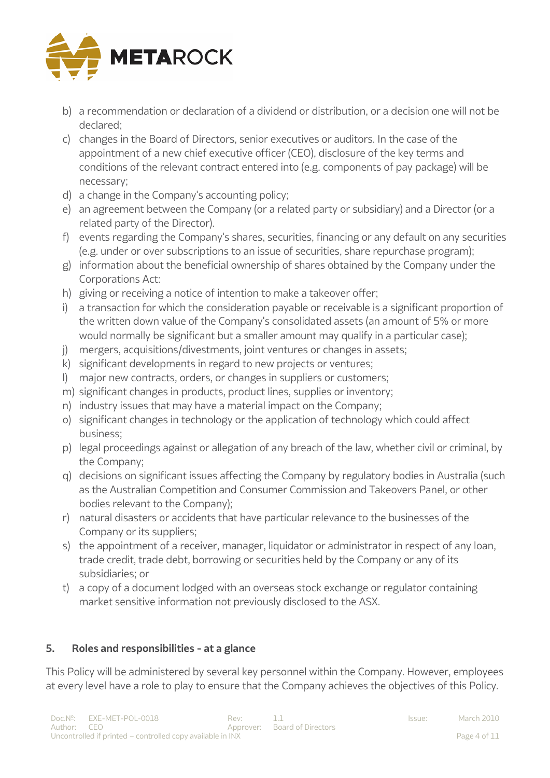

- b) a recommendation or declaration of a dividend or distribution, or a decision one will not be declared;
- c) changes in the Board of Directors, senior executives or auditors. In the case of the appointment of a new chief executive officer (CEO), disclosure of the key terms and conditions of the relevant contract entered into (e.g. components of pay package) will be necessary;
- d) a change in the Company's accounting policy;
- e) an agreement between the Company (or a related party or subsidiary) and a Director (or a related party of the Director).
- f) events regarding the Company's shares, securities, financing or any default on any securities (e.g. under or over subscriptions to an issue of securities, share repurchase program);
- g) information about the beneficial ownership of shares obtained by the Company under the Corporations Act:
- h) giving or receiving a notice of intention to make a takeover offer;
- i) a transaction for which the consideration payable or receivable is a significant proportion of the written down value of the Company's consolidated assets (an amount of 5% or more would normally be significant but a smaller amount may qualify in a particular case);
- j) mergers, acquisitions/divestments, joint ventures or changes in assets;
- k) significant developments in regard to new projects or ventures;
- l) major new contracts, orders, or changes in suppliers or customers;
- m) significant changes in products, product lines, supplies or inventory;
- n) industry issues that may have a material impact on the Company;
- o) significant changes in technology or the application of technology which could affect business;
- p) legal proceedings against or allegation of any breach of the law, whether civil or criminal, by the Company;
- q) decisions on significant issues affecting the Company by regulatory bodies in Australia (such as the Australian Competition and Consumer Commission and Takeovers Panel, or other bodies relevant to the Company);
- r) natural disasters or accidents that have particular relevance to the businesses of the Company or its suppliers;
- s) the appointment of a receiver, manager, liquidator or administrator in respect of any loan, trade credit, trade debt, borrowing or securities held by the Company or any of its subsidiaries; or
- t) a copy of a document lodged with an overseas stock exchange or regulator containing market sensitive information not previously disclosed to the ASX.

# **5. Roles and responsibilities - at a glance**

This Policy will be administered by several key personnel within the Company. However, employees at every level have a role to play to ensure that the Company achieves the objectives of this Policy.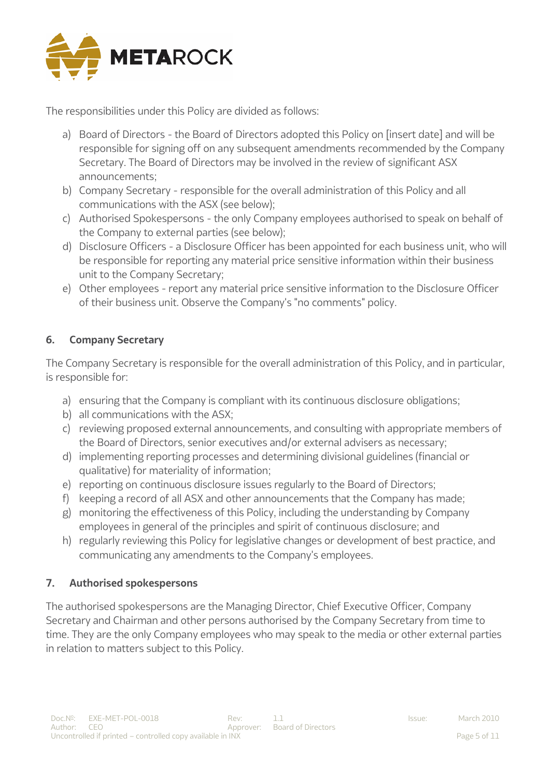

The responsibilities under this Policy are divided as follows:

- a) Board of Directors the Board of Directors adopted this Policy on [insert date] and will be responsible for signing off on any subsequent amendments recommended by the Company Secretary. The Board of Directors may be involved in the review of significant ASX announcements;
- b) Company Secretary responsible for the overall administration of this Policy and all communications with the ASX (see below);
- c) Authorised Spokespersons the only Company employees authorised to speak on behalf of the Company to external parties (see below);
- d) Disclosure Officers a Disclosure Officer has been appointed for each business unit, who will be responsible for reporting any material price sensitive information within their business unit to the Company Secretary;
- e) Other employees report any material price sensitive information to the Disclosure Officer of their business unit. Observe the Company's "no comments" policy.

# **6. Company Secretary**

The Company Secretary is responsible for the overall administration of this Policy, and in particular, is responsible for:

- a) ensuring that the Company is compliant with its continuous disclosure obligations;
- b) all communications with the ASX;
- c) reviewing proposed external announcements, and consulting with appropriate members of the Board of Directors, senior executives and/or external advisers as necessary;
- d) implementing reporting processes and determining divisional guidelines (financial or qualitative) for materiality of information;
- e) reporting on continuous disclosure issues regularly to the Board of Directors;
- f) keeping a record of all ASX and other announcements that the Company has made;
- g) monitoring the effectiveness of this Policy, including the understanding by Company employees in general of the principles and spirit of continuous disclosure; and
- h) regularly reviewing this Policy for legislative changes or development of best practice, and communicating any amendments to the Company's employees.

# **7. Authorised spokespersons**

The authorised spokespersons are the Managing Director, Chief Executive Officer, Company Secretary and Chairman and other persons authorised by the Company Secretary from time to time. They are the only Company employees who may speak to the media or other external parties in relation to matters subject to this Policy.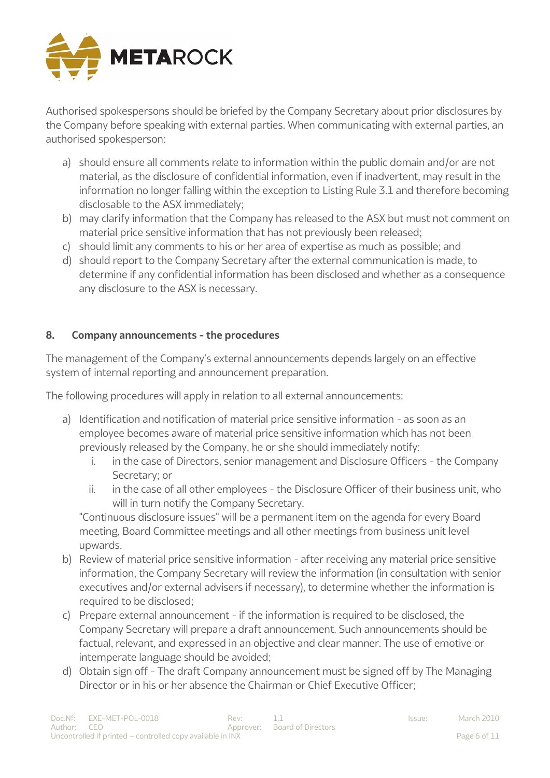

Authorised spokespersons should be briefed by the Company Secretary about prior disclosures by the Company before speaking with external parties. When communicating with external parties, an authorised spokesperson:

- a) should ensure all comments relate to information within the public domain and/or are not material, as the disclosure of confidential information, even if inadvertent, may result in the information no longer falling within the exception to Listing Rule 3.1 and therefore becoming disclosable to the ASX immediately;
- b) may clarify information that the Company has released to the ASX but must not comment on material price sensitive information that has not previously been released;
- c) should limit any comments to his or her area of expertise as much as possible; and
- d) should report to the Company Secretary after the external communication is made, to determine if any confidential information has been disclosed and whether as a consequence any disclosure to the ASX is necessary.

# **8. Company announcements - the procedures**

The management of the Company's external announcements depends largely on an effective system of internal reporting and announcement preparation.

The following procedures will apply in relation to all external announcements:

- a) Identification and notification of material price sensitive information as soon as an employee becomes aware of material price sensitive information which has not been previously released by the Company, he or she should immediately notify:
	- i. in the case of Directors, senior management and Disclosure Officers the Company Secretary; or
	- ii. in the case of all other employees the Disclosure Officer of their business unit, who will in turn notify the Company Secretary.

"Continuous disclosure issues" will be a permanent item on the agenda for every Board meeting, Board Committee meetings and all other meetings from business unit level upwards.

- b) Review of material price sensitive information after receiving any material price sensitive information, the Company Secretary will review the information (in consultation with senior executives and/or external advisers if necessary), to determine whether the information is required to be disclosed;
- c) Prepare external announcement if the information is required to be disclosed, the Company Secretary will prepare a draft announcement. Such announcements should be factual, relevant, and expressed in an objective and clear manner. The use of emotive or intemperate language should be avoided;
- d) Obtain sign off The draft Company announcement must be signed off by The Managing Director or in his or her absence the Chairman or Chief Executive Officer;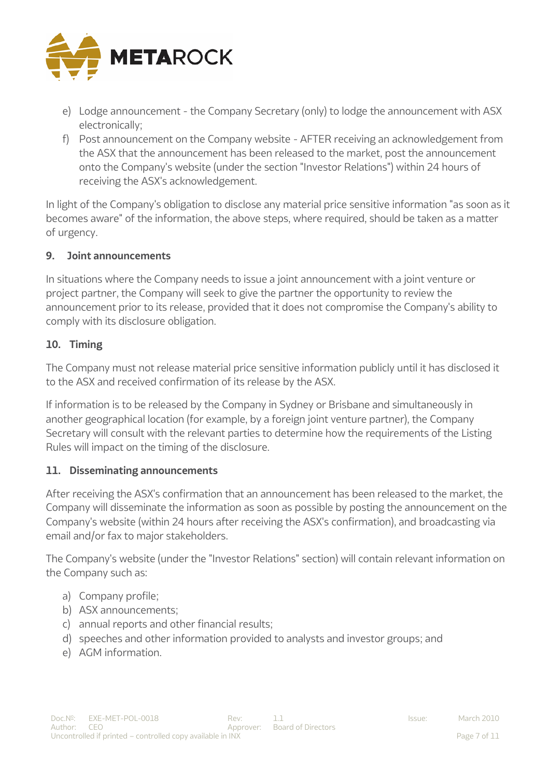

- e) Lodge announcement the Company Secretary (only) to lodge the announcement with ASX electronically;
- f) Post announcement on the Company website AFTER receiving an acknowledgement from the ASX that the announcement has been released to the market, post the announcement onto the Company's website (under the section "Investor Relations") within 24 hours of receiving the ASX's acknowledgement.

In light of the Company's obligation to disclose any material price sensitive information "as soon as it becomes aware" of the information, the above steps, where required, should be taken as a matter of urgency.

#### **9. Joint announcements**

In situations where the Company needs to issue a joint announcement with a joint venture or project partner, the Company will seek to give the partner the opportunity to review the announcement prior to its release, provided that it does not compromise the Company's ability to comply with its disclosure obligation.

# **10. Timing**

The Company must not release material price sensitive information publicly until it has disclosed it to the ASX and received confirmation of its release by the ASX.

If information is to be released by the Company in Sydney or Brisbane and simultaneously in another geographical location (for example, by a foreign joint venture partner), the Company Secretary will consult with the relevant parties to determine how the requirements of the Listing Rules will impact on the timing of the disclosure.

# **11. Disseminating announcements**

After receiving the ASX's confirmation that an announcement has been released to the market, the Company will disseminate the information as soon as possible by posting the announcement on the Company's website (within 24 hours after receiving the ASX's confirmation), and broadcasting via email and/or fax to major stakeholders.

The Company's website (under the "Investor Relations" section) will contain relevant information on the Company such as:

- a) Company profile;
- b) ASX announcements;
- c) annual reports and other financial results;
- d) speeches and other information provided to analysts and investor groups; and
- e) AGM information.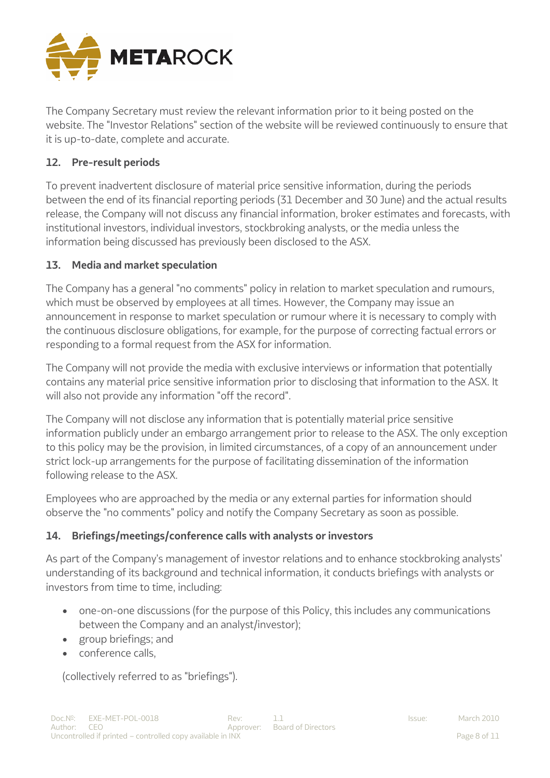

The Company Secretary must review the relevant information prior to it being posted on the website. The "Investor Relations" section of the website will be reviewed continuously to ensure that it is up-to-date, complete and accurate.

# **12. Pre-result periods**

To prevent inadvertent disclosure of material price sensitive information, during the periods between the end of its financial reporting periods (31 December and 30 June) and the actual results release, the Company will not discuss any financial information, broker estimates and forecasts, with institutional investors, individual investors, stockbroking analysts, or the media unless the information being discussed has previously been disclosed to the ASX.

# **13. Media and market speculation**

The Company has a general "no comments" policy in relation to market speculation and rumours, which must be observed by employees at all times. However, the Company may issue an announcement in response to market speculation or rumour where it is necessary to comply with the continuous disclosure obligations, for example, for the purpose of correcting factual errors or responding to a formal request from the ASX for information.

The Company will not provide the media with exclusive interviews or information that potentially contains any material price sensitive information prior to disclosing that information to the ASX. It will also not provide any information "off the record".

The Company will not disclose any information that is potentially material price sensitive information publicly under an embargo arrangement prior to release to the ASX. The only exception to this policy may be the provision, in limited circumstances, of a copy of an announcement under strict lock-up arrangements for the purpose of facilitating dissemination of the information following release to the ASX.

Employees who are approached by the media or any external parties for information should observe the "no comments" policy and notify the Company Secretary as soon as possible.

# **14. Briefings/meetings/conference calls with analysts or investors**

As part of the Company's management of investor relations and to enhance stockbroking analysts' understanding of its background and technical information, it conducts briefings with analysts or investors from time to time, including:

- one-on-one discussions (for the purpose of this Policy, this includes any communications between the Company and an analyst/investor);
- group briefings; and
- conference calls,

(collectively referred to as "briefings").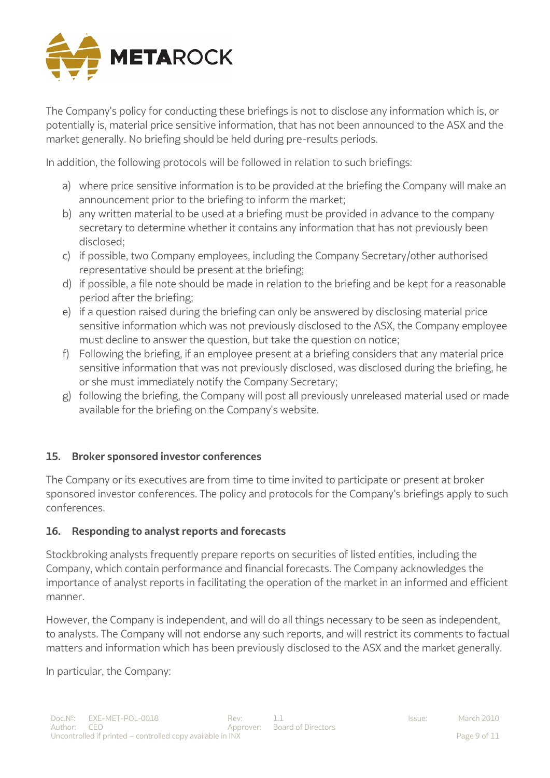

The Company's policy for conducting these briefings is not to disclose any information which is, or potentially is, material price sensitive information, that has not been announced to the ASX and the market generally. No briefing should be held during pre-results periods.

In addition, the following protocols will be followed in relation to such briefings:

- a) where price sensitive information is to be provided at the briefing the Company will make an announcement prior to the briefing to inform the market;
- b) any written material to be used at a briefing must be provided in advance to the company secretary to determine whether it contains any information that has not previously been disclosed;
- c) if possible, two Company employees, including the Company Secretary/other authorised representative should be present at the briefing;
- d) if possible, a file note should be made in relation to the briefing and be kept for a reasonable period after the briefing;
- e) if a question raised during the briefing can only be answered by disclosing material price sensitive information which was not previously disclosed to the ASX, the Company employee must decline to answer the question, but take the question on notice;
- f) Following the briefing, if an employee present at a briefing considers that any material price sensitive information that was not previously disclosed, was disclosed during the briefing, he or she must immediately notify the Company Secretary;
- g) following the briefing, the Company will post all previously unreleased material used or made available for the briefing on the Company's website.

# **15. Broker sponsored investor conferences**

The Company or its executives are from time to time invited to participate or present at broker sponsored investor conferences. The policy and protocols for the Company's briefings apply to such conferences.

# **16. Responding to analyst reports and forecasts**

Stockbroking analysts frequently prepare reports on securities of listed entities, including the Company, which contain performance and financial forecasts. The Company acknowledges the importance of analyst reports in facilitating the operation of the market in an informed and efficient manner.

However, the Company is independent, and will do all things necessary to be seen as independent, to analysts. The Company will not endorse any such reports, and will restrict its comments to factual matters and information which has been previously disclosed to the ASX and the market generally.

In particular, the Company: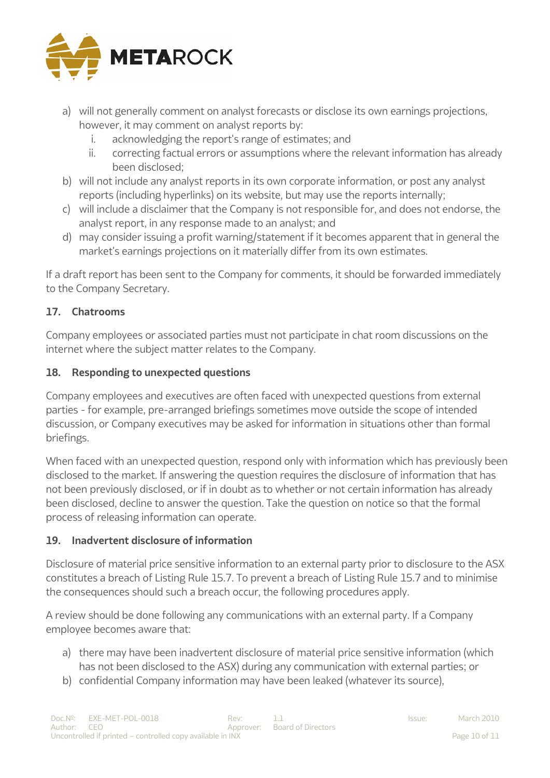

- a) will not generally comment on analyst forecasts or disclose its own earnings projections, however, it may comment on analyst reports by:
	- i. acknowledging the report's range of estimates; and
	- ii. correcting factual errors or assumptions where the relevant information has already been disclosed;
- b) will not include any analyst reports in its own corporate information, or post any analyst reports (including hyperlinks) on its website, but may use the reports internally;
- c) will include a disclaimer that the Company is not responsible for, and does not endorse, the analyst report, in any response made to an analyst; and
- d) may consider issuing a profit warning/statement if it becomes apparent that in general the market's earnings projections on it materially differ from its own estimates.

If a draft report has been sent to the Company for comments, it should be forwarded immediately to the Company Secretary.

# **17. Chatrooms**

Company employees or associated parties must not participate in chat room discussions on the internet where the subject matter relates to the Company.

# **18. Responding to unexpected questions**

Company employees and executives are often faced with unexpected questions from external parties - for example, pre-arranged briefings sometimes move outside the scope of intended discussion, or Company executives may be asked for information in situations other than formal briefings.

When faced with an unexpected question, respond only with information which has previously been disclosed to the market. If answering the question requires the disclosure of information that has not been previously disclosed, or if in doubt as to whether or not certain information has already been disclosed, decline to answer the question. Take the question on notice so that the formal process of releasing information can operate.

# **19. Inadvertent disclosure of information**

Disclosure of material price sensitive information to an external party prior to disclosure to the ASX constitutes a breach of Listing Rule 15.7. To prevent a breach of Listing Rule 15.7 and to minimise the consequences should such a breach occur, the following procedures apply.

A review should be done following any communications with an external party. If a Company employee becomes aware that:

- a) there may have been inadvertent disclosure of material price sensitive information (which has not been disclosed to the ASX) during any communication with external parties; or
- b) confidential Company information may have been leaked (whatever its source),